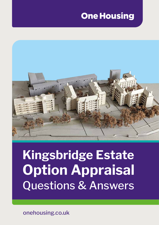## **One Housing**



# **Kingsbridge Estate Option Appraisal** Questions & Answers

onehousing.co.uk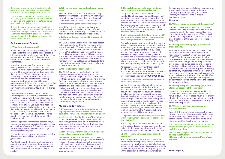During our engagement with residents so far, questions have been asked that we feel are useful to share with everyone on the estate.

This is a 'live' document accurate as of April 2021, many of the answers to these questions will develop and become more detailed as we progress further in the process.

Rob Lantsbury, your Independent Resident Advisor who specializes in leasehold matters, is currently working to create a FAQ's document specifically for resident leaseholders. Please contact Rob on the details on the back of this leaflet to discuss this.

#### **Options Appraisal Process**

#### **1. What is an option appraisal?**

An options appraisal is simply looking at a number of options for the future of the estate that take into consideration what is good about the current homes, what residents don't like about the current homes and whether the options can be afforded.

As part of the process, One Housing has been holding a series of consultations, these will continue over the coming months, during which several different options will be developed with the community. This includes options such as; nothing changes, refurbishment, partial demolition and infill construction (building on vacant land) as well as demolition and redevelopment. It is not simply about demolishing homes, it is about considering all options which may mean homes remain untouched, refurbished or rebuilt.

We are currently in cycle 2 of the options appraisal process, which is typically carried out in up to 5 cycles. During these cycles' residents are asked to comment on the options that they see. The options you have seen so far have not contained lots of detail, and you have not been asked to make any final decisions, this is because the design of the options will continue to change in consultation cycles 3 and 4 based on your feedback. In this way, we ensure that as far as possible, the options reflect the wants of the local community.

As these options become more detailed, they will continue be assessed by residents and a number of consultants (planning & financial consultants for example) in order to settle upon a single, realistic preferred option.

That option will then be put to a resident ballot. In this way, residents will decide whether it goes ahead.

Your feedback will influence what changes are made to each option to make them as good as they can be. A final option will not be presented until Cycle 5 when you are asked to vote in a ballot.

#### **8. The cycle 2 booklet talks about minimum space standards, what does this mean?**

The government has set a minimum space standard for all new build homes. This is not just about the number of bedrooms increasing, but the size of the home in general. For example, an example 1 bed flat in Montrose House is currently 39m2, the minimum size of a new 1 bedroom flat would be 50m2. If any news homes were built on the Kingsbridge Estate, they would be built to minimum space standards.

#### **9. Will my tenancy rights be kept (preserved) if I am required to move away and then come back once the regeneration is complete?**

Yes, as long as you move to another One Housing property. Some tenants may voluntarily decide to transfer away permanently from the regeneration area and give up their right to return. These residents may move to a property that is not owned or managed by One Housing. These residents would retain their core rights as assured tenants, but some details may differ. We would advise any resident considering this, to review the new tenancy thoroughly before committing to it.

Advice is available from your Independent Resident Advisers: Christine Searle, Rob Lantsbury and Iftekhar Ahmed from Newmill. The Newmill team can be contacted on the following freephone number: **0800 0304 588**.

#### **10. Will I be required to move away because of any of these options?**

No, your rent will remain the same as it is now, unless you need to move to home with more or less bedrooms. In that case you would pay the current rent for that size property. Your rent will continue to change in April each year, as it does already in line with the Consumer Price Index  $(CPI) + 1\%$ .

Maybe. Some options will require temporary moves and others will not. As the options develop further, we will make it clear how much disruption each option will cause. In a partial or full demolition option the architects would design things in a way that minimizes disruption as much as possible, and ensure as many people as possible only need to move once (from their current home, straight into a new home) this is called 'phasing.' If your home is demolished as part of any option, you may decide to move to a home away from the Kingsbridge Estate permanently, this will be your choice.

#### **11. If you build new homes on my estate as part of any regeneration option, who is going to be living in them?**

At this stage we do not know the mix of tenure on the estate, depending upon the option it could include the following; social housing, leasehold homes and shared ownership (part buy part rent).

#### **12. Will I lose my parking space as a result of any option?**

At this stage it is too early to say, however our intention is to retain parking spaces allocated to tenants in line with the current permit scheme on Kingsbridge Estate. Depending on which option is taken forward, the location of the parking spaces on the estate could change. If we were to take

#### **2. Why do you need resident feedback at every stage?**

Resident feedback is used to inform the designs; therefore, your feedback is critical. At each stage the architects will present ideas, and these will change and develop based on your feedback.

#### **3. Will residents get to vote on any proposals?**

Yes, at the end of the option appraisal process a resident ballot will be held on the preferred option. The proposal will only be taken forward if a majority of votes are in favour of the option.

#### **4. Is there a minimum threshold for turnout at the ballot?**

The GLA (Greater London Authority) does not set out a minimum turnout for the number of votes in a resident ballot. The outcome of a ballot will be decided on a simple majority of the number of 'yes' and 'no' votes received from eligible voters. A ballot is only required to be held in any option which includes the demolition of any social homes and/or the construction of more than 150 new homes. However, One Housing wants residents to have the final say and will hold a vote on whatever is the preferred option.

#### **5. Who is eligible to vote in a ballot?**

The GLA (Greater London Authority) sets the eligibility requirements for voting. All social housing tenants are eligible to vote. If you have a joint tenancy agreement both tenants have a vote. Resident leaseholders who have been living on the estate for at least 12 months prior to the date that the landlord offer has been published are eligible to vote. If two or more people are named on the lease for their property, all leaseholders have a vote. Any resident who lives on the estate and has been on the London Borough of Tower Hamlets housing register for at least 12 months prior to the date the landlord offer has been published are eligible to vote.

#### **My home and my estate**

#### **6. If my current home is demolished as part of any regeneration option, will I be able to move back to the new development when it's finished?**

Yes, this is called the 'right to return' if your home is demolished as part of any option, you would have the right to return to a new home that meets your needs on the estate. Your rent will also stay the same, for more information about you rent please see question 13.

#### **7. I am currently overcrowded; will this be solved as part of any regeneration option?**

Not all options will be able to solve overcrowding. As the options appraisal progresses, we will make it clear in the consultation booklet which options could solve overcrowding and those which will not. If your home is demolished as part of any option, you will be rehoused in a home that suits your family size.

forward an option such as full redevelopment,this would need to be considered by the local authority as part of a planning application whereby they could seek to reduce the parking provision.

#### **Finances**

#### **13. Will my rent go up because of these options?**

#### **14. Will my service charge go up because of these options?**

Probably. At this moment we can't say by how much because we don't know which option residents will choose. New services such as a lift, CCTV or door entry system, whether in a refurbished block or in a new block, will likely lead to an increased charge. One Housing will keep any increases as low as possible and residents will be involved in deciding on what the option will be and what services will be provided. Having said that, any refurbished or new homes should be cheaper to run (i.e. your gas/electric/water bills should be less) and it is hoped that this will offset any increase in service charges. We will provide an estimate of service charge before the ballot on the preferred option.

#### **15. Will my utility bills (electricity, gas, water etc) go up because of these options?**

Usually not, in most cases resident's utility bills will decrease. This is because a refurbished or new building is (in most cases) much more energy efficient than an older one. We will aim to provide some estimated utility cost comparisons as part of the option appraisal.

#### **16. Will my council tax go up because of the regeneration?**

Possibly. If the regeneration increases the value of your home, then this could lead to an increase in council tax. Any new buildings constructed as part of a regeneration option are likely to have a higher council tax than the current homes.

If you have not already, please contact any of the project team to give your feedback about the cycle 2 information.

You can also give your feedback in your own time on the project website:

**https://www.kingsbridgeestatee14.com/haveyour-say**